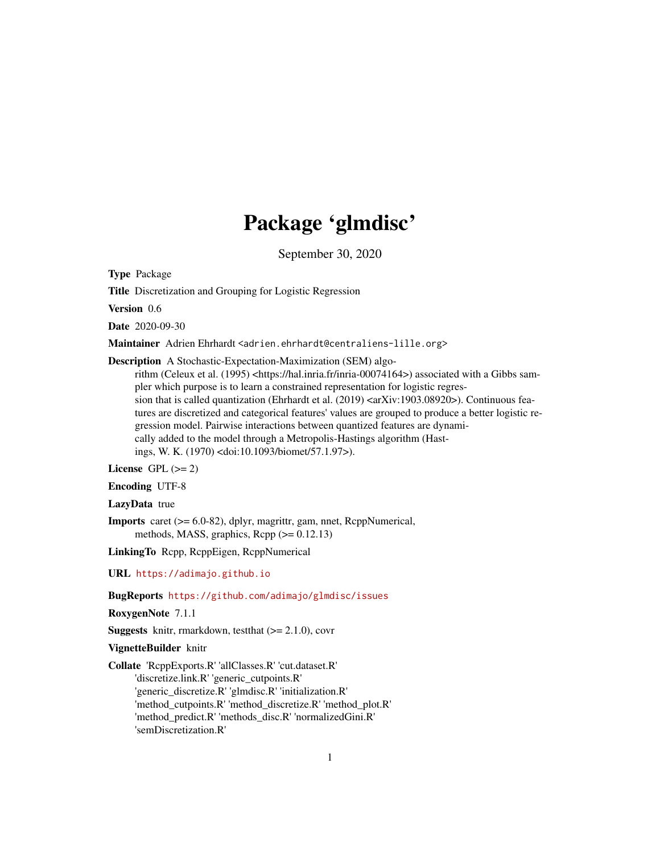## Package 'glmdisc'

September 30, 2020

<span id="page-0-0"></span>Type Package

Title Discretization and Grouping for Logistic Regression

Version 0.6

Date 2020-09-30

Maintainer Adrien Ehrhardt <adrien.ehrhardt@centraliens-lille.org>

Description A Stochastic-Expectation-Maximization (SEM) algo-

rithm (Celeux et al. (1995) <https://hal.inria.fr/inria-00074164>) associated with a Gibbs sampler which purpose is to learn a constrained representation for logistic regression that is called quantization (Ehrhardt et al.  $(2019)$  <arXiv:1903.08920>). Continuous features are discretized and categorical features' values are grouped to produce a better logistic regression model. Pairwise interactions between quantized features are dynamically added to the model through a Metropolis-Hastings algorithm (Hastings, W. K. (1970) <doi:10.1093/biomet/57.1.97>).

License GPL  $(>= 2)$ 

Encoding UTF-8

LazyData true

Imports caret (>= 6.0-82), dplyr, magrittr, gam, nnet, RcppNumerical, methods, MASS, graphics,  $\text{Rcpp} (> = 0.12.13)$ 

LinkingTo Rcpp, RcppEigen, RcppNumerical

URL <https://adimajo.github.io>

BugReports <https://github.com/adimajo/glmdisc/issues>

RoxygenNote 7.1.1

**Suggests** knitr, rmarkdown, test that  $(>= 2.1.0)$ , covr

VignetteBuilder knitr

Collate 'RcppExports.R' 'allClasses.R' 'cut.dataset.R' 'discretize.link.R' 'generic\_cutpoints.R' 'generic\_discretize.R' 'glmdisc.R' 'initialization.R' 'method\_cutpoints.R' 'method\_discretize.R' 'method\_plot.R' 'method\_predict.R' 'methods\_disc.R' 'normalizedGini.R' 'semDiscretization.R'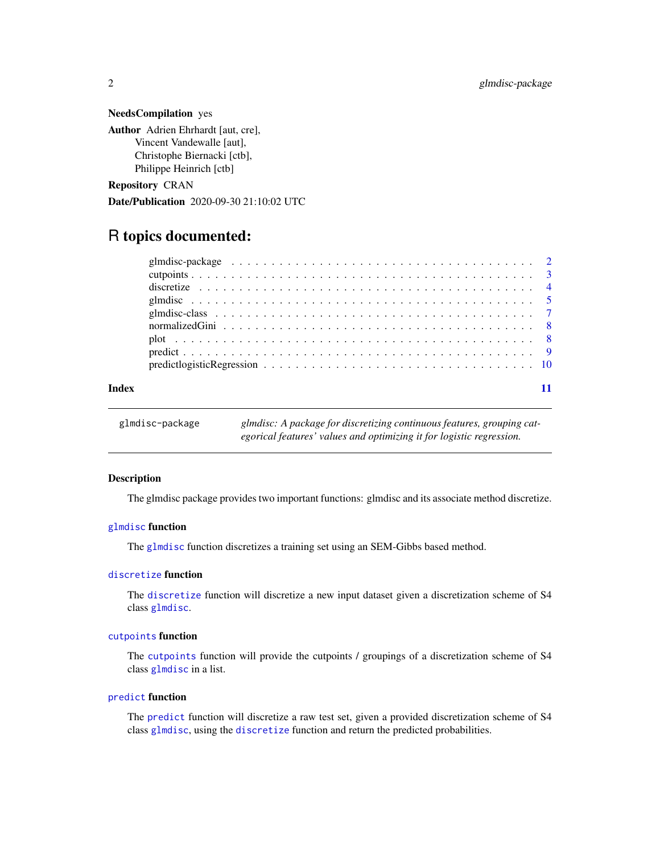#### NeedsCompilation yes

Author Adrien Ehrhardt [aut, cre], Vincent Vandewalle [aut], Christophe Biernacki [ctb], Philippe Heinrich [ctb]

Repository CRAN

Date/Publication 2020-09-30 21:10:02 UTC

### R topics documented:

|       | glmdisc-package $\ldots \ldots \ldots \ldots \ldots \ldots \ldots \ldots \ldots \ldots \ldots \ldots \ldots$ |  |
|-------|--------------------------------------------------------------------------------------------------------------|--|
|       |                                                                                                              |  |
|       |                                                                                                              |  |
|       |                                                                                                              |  |
|       |                                                                                                              |  |
|       |                                                                                                              |  |
|       |                                                                                                              |  |
|       |                                                                                                              |  |
|       |                                                                                                              |  |
|       |                                                                                                              |  |
| Index |                                                                                                              |  |

| glmdisc-package | glmdisc: A package for discretizing continuous features, grouping cat- |
|-----------------|------------------------------------------------------------------------|
|                 | egorical features' values and optimizing it for logistic regression.   |

#### Description

The glmdisc package provides two important functions: glmdisc and its associate method discretize.

#### [glmdisc](#page-4-1) function

The [glmdisc](#page-4-1) function discretizes a training set using an SEM-Gibbs based method.

### [discretize](#page-3-1) function

The [discretize](#page-3-1) function will discretize a new input dataset given a discretization scheme of S4 class [glmdisc](#page-4-1).

#### [cutpoints](#page-2-1) function

The [cutpoints](#page-2-1) function will provide the cutpoints / groupings of a discretization scheme of S4 class [glmdisc](#page-4-1) in a list.

#### [predict](#page-8-1) function

The [predict](#page-8-1) function will discretize a raw test set, given a provided discretization scheme of S4 class [glmdisc](#page-4-1), using the [discretize](#page-3-1) function and return the predicted probabilities.

<span id="page-1-0"></span>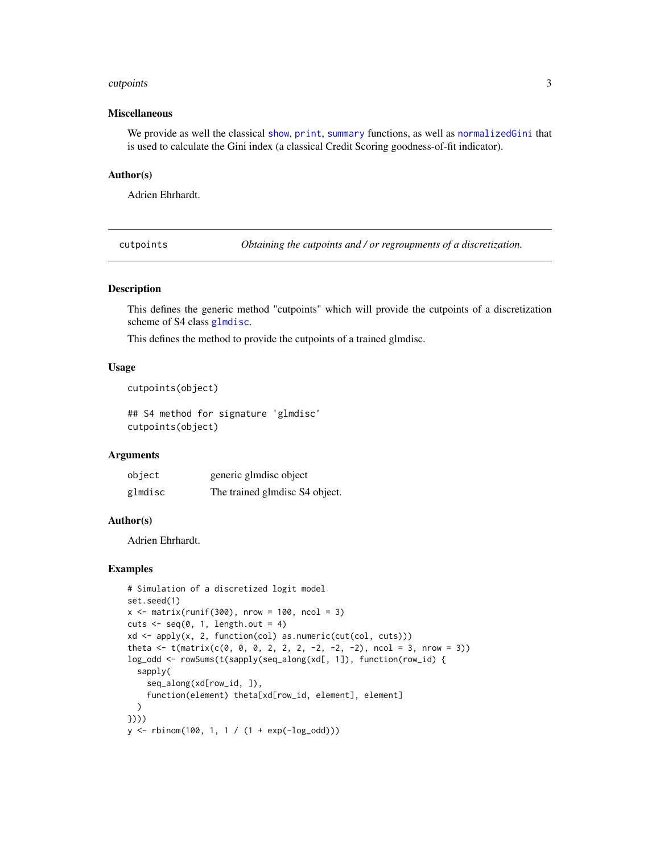#### <span id="page-2-0"></span>cutpoints 3

#### Miscellaneous

We provide as well the classical [show](#page-0-0), [print](#page-0-0), [summary](#page-0-0) functions, as well as [normalizedGini](#page-7-1) that is used to calculate the Gini index (a classical Credit Scoring goodness-of-fit indicator).

#### Author(s)

Adrien Ehrhardt.

<span id="page-2-1"></span>cutpoints *Obtaining the cutpoints and / or regroupments of a discretization.*

#### Description

This defines the generic method "cutpoints" which will provide the cutpoints of a discretization scheme of S4 class [glmdisc](#page-4-1).

This defines the method to provide the cutpoints of a trained glmdisc.

#### Usage

cutpoints(object)

## S4 method for signature 'glmdisc' cutpoints(object)

#### Arguments

| object  | generic glmdisc object         |
|---------|--------------------------------|
| glmdisc | The trained glmdisc S4 object. |

#### Author(s)

Adrien Ehrhardt.

#### Examples

```
# Simulation of a discretized logit model
set.seed(1)
x \le - matrix(runif(300), nrow = 100, ncol = 3)
cuts \leq seq(0, 1, length.out = 4)
xd <- apply(x, 2, function(col) as.numeric(cut(col, cuts)))
theta \leq t(matrix(c(0, 0, 0, 2, 2, 2, -2, -2, -2), ncol = 3, nrow = 3))
log_odd <- rowSums(t(sapply(seq_along(xd[, 1]), function(row_id) {
  sapply(
    seq_along(xd[row_id, ]),
    function(element) theta[xd[row_id, element], element]
  )
})))
y \le - rbinom(100, 1, 1 / (1 + exp(-log_odd)))
```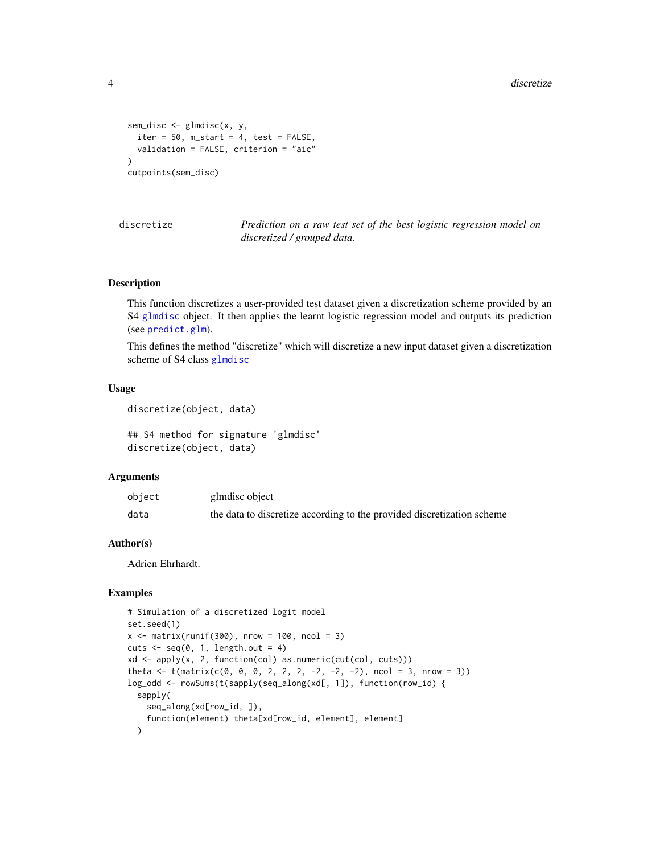```
sem_disc <- glmdisc(x, y,
  iter = 50, m_start = 4, test = FALSE,
  validation = FALSE, criterion = "aic"
)
cutpoints(sem_disc)
```
<span id="page-3-1"></span>discretize *Prediction on a raw test set of the best logistic regression model on discretized / grouped data.*

#### Description

This function discretizes a user-provided test dataset given a discretization scheme provided by an S4 [glmdisc](#page-4-1) object. It then applies the learnt logistic regression model and outputs its prediction (see [predict.glm](#page-0-0)).

This defines the method "discretize" which will discretize a new input dataset given a discretization scheme of S4 class [glmdisc](#page-4-1)

#### Usage

```
discretize(object, data)
```
## S4 method for signature 'glmdisc' discretize(object, data)

#### Arguments

| object | glmdisc object                                                         |
|--------|------------------------------------------------------------------------|
| data   | the data to discretize according to the provided discretization scheme |

#### Author(s)

Adrien Ehrhardt.

#### Examples

```
# Simulation of a discretized logit model
set.seed(1)
x \le - matrix(runif(300), nrow = 100, ncol = 3)
cuts \leq seq(0, 1, length.out = 4)
xd <- apply(x, 2, function(col) as.numeric(cut(col, cuts)))
theta \leq t(matrix(c(0, 0, 0, 2, 2, 2, -2, -2, -2), ncol = 3, nrow = 3))
log_odd <- rowSums(t(sapply(seq_along(xd[, 1]), function(row_id) {
  sapply(
    seq_along(xd[row_id, ]),
    function(element) theta[xd[row_id, element], element]
  )
```
<span id="page-3-0"></span>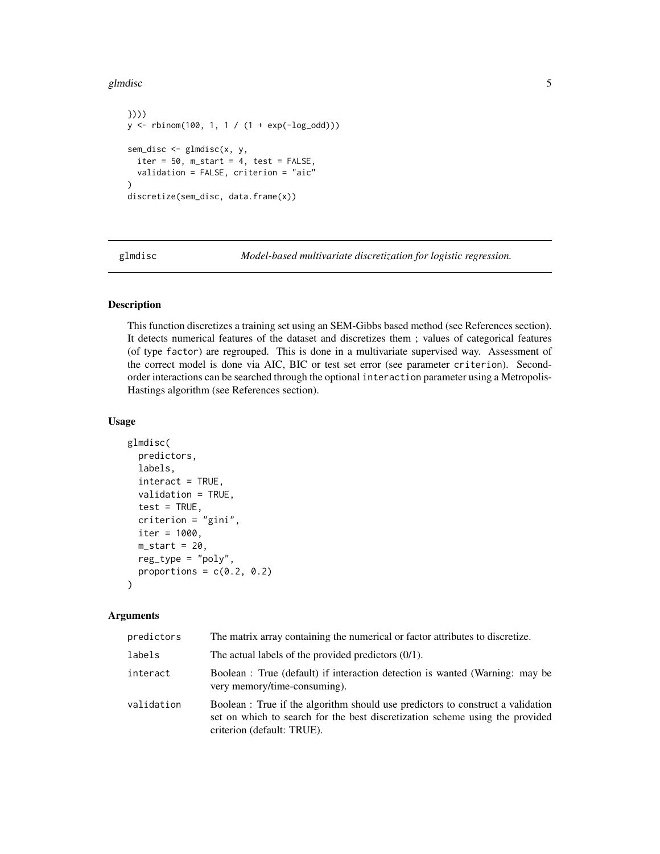#### <span id="page-4-0"></span>glmdisc 5

```
})))
y <- rbinom(100, 1, 1 / (1 + exp(-log_odd)))
sem_disc <- glmdisc(x, y,
  iter = 50, m_start = 4, test = FALSE,
  validation = FALSE, criterion = "aic"
)
discretize(sem_disc, data.frame(x))
```
<span id="page-4-1"></span>glmdisc *Model-based multivariate discretization for logistic regression.*

#### Description

This function discretizes a training set using an SEM-Gibbs based method (see References section). It detects numerical features of the dataset and discretizes them ; values of categorical features (of type factor) are regrouped. This is done in a multivariate supervised way. Assessment of the correct model is done via AIC, BIC or test set error (see parameter criterion). Secondorder interactions can be searched through the optional interaction parameter using a Metropolis-Hastings algorithm (see References section).

#### Usage

```
glmdisc(
 predictors,
  labels,
  interact = TRUE,
  validation = TRUE,
  test = TRUE,criterion = "gini",
  iter = 1000,
 m_{\text{1}}start = 20,
 reg_type = "poly",proportions = c(0.2, 0.2))
```
#### Arguments

| predictors | The matrix array containing the numerical or factor attributes to discretize.                                                                                                                 |
|------------|-----------------------------------------------------------------------------------------------------------------------------------------------------------------------------------------------|
| labels     | The actual labels of the provided predictors $(0/1)$ .                                                                                                                                        |
| interact   | Boolean : True (default) if interaction detection is wanted (Warning: may be<br>very memory/time-consuming).                                                                                  |
| validation | Boolean : True if the algorithm should use predictors to construct a validation<br>set on which to search for the best discretization scheme using the provided<br>criterion (default: TRUE). |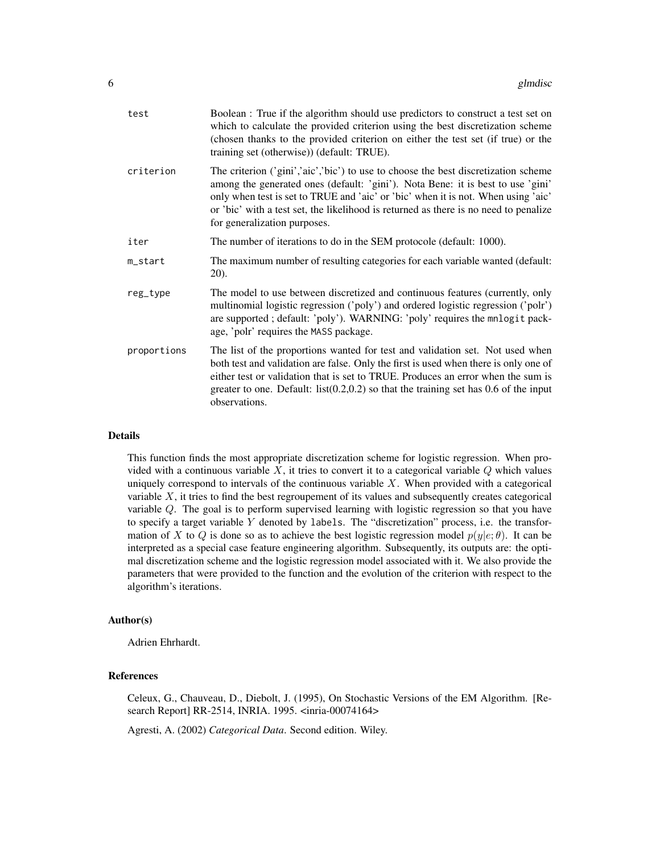| test        | Boolean: True if the algorithm should use predictors to construct a test set on<br>which to calculate the provided criterion using the best discretization scheme<br>(chosen thanks to the provided criterion on either the test set (if true) or the<br>training set (otherwise)) (default: TRUE).                                                                                |
|-------------|------------------------------------------------------------------------------------------------------------------------------------------------------------------------------------------------------------------------------------------------------------------------------------------------------------------------------------------------------------------------------------|
| criterion   | The criterion ('gini','aic','bic') to use to choose the best discretization scheme<br>among the generated ones (default: 'gini'). Nota Bene: it is best to use 'gini'<br>only when test is set to TRUE and 'aic' or 'bic' when it is not. When using 'aic'<br>or 'bic' with a test set, the likelihood is returned as there is no need to penalize<br>for generalization purposes. |
| iter        | The number of iterations to do in the SEM protocole (default: 1000).                                                                                                                                                                                                                                                                                                               |
| m_start     | The maximum number of resulting categories for each variable wanted (default:<br>20).                                                                                                                                                                                                                                                                                              |
| reg_type    | The model to use between discretized and continuous features (currently, only<br>multinomial logistic regression ('poly') and ordered logistic regression ('polr')<br>are supported; default: 'poly'). WARNING: 'poly' requires the mnlogit pack-<br>age, 'polr' requires the MASS package.                                                                                        |
| proportions | The list of the proportions wanted for test and validation set. Not used when<br>both test and validation are false. Only the first is used when there is only one of<br>either test or validation that is set to TRUE. Produces an error when the sum is<br>greater to one. Default: $list(0.2,0.2)$ so that the training set has 0.6 of the input<br>observations.               |
|             |                                                                                                                                                                                                                                                                                                                                                                                    |

#### Details

This function finds the most appropriate discretization scheme for logistic regression. When provided with a continuous variable  $X$ , it tries to convert it to a categorical variable  $Q$  which values uniquely correspond to intervals of the continuous variable  $X$ . When provided with a categorical variable  $X$ , it tries to find the best regroupement of its values and subsequently creates categorical variable Q. The goal is to perform supervised learning with logistic regression so that you have to specify a target variable  $Y$  denoted by labels. The "discretization" process, i.e. the transformation of X to Q is done so as to achieve the best logistic regression model  $p(y|e;\theta)$ . It can be interpreted as a special case feature engineering algorithm. Subsequently, its outputs are: the optimal discretization scheme and the logistic regression model associated with it. We also provide the parameters that were provided to the function and the evolution of the criterion with respect to the algorithm's iterations.

#### Author(s)

Adrien Ehrhardt.

#### References

Celeux, G., Chauveau, D., Diebolt, J. (1995), On Stochastic Versions of the EM Algorithm. [Research Report] RR-2514, INRIA. 1995. <inria-00074164>

Agresti, A. (2002) *Categorical Data*. Second edition. Wiley.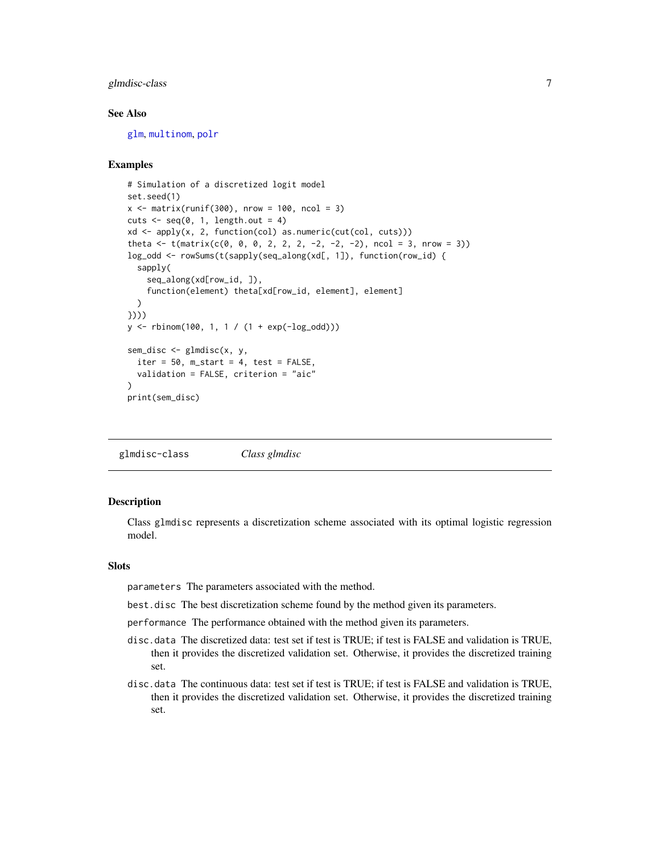#### <span id="page-6-0"></span>glmdisc-class 7

#### See Also

[glm](#page-0-0), [multinom](#page-0-0), [polr](#page-0-0)

#### Examples

```
# Simulation of a discretized logit model
set.seed(1)
x \le matrix(runif(300), nrow = 100, ncol = 3)
cuts \leq seq(0, 1, length.out = 4)
xd <- apply(x, 2, function(col) as.numeric(cut(col, cuts)))
theta \leq t(matrix(c(0, 0, 0, 2, 2, 2, -2, -2, -2), ncol = 3, nrow = 3))
log_odd <- rowSums(t(sapply(seq_along(xd[, 1]), function(row_id) {
  sapply(
    seq_along(xd[row_id, ]),
    function(element) theta[xd[row_id, element], element]
  \lambda})))
y <- rbinom(100, 1, 1 / (1 + exp(-log_odd)))
sem_disc <- glmdisc(x, y,
  iter = 50, m_start = 4, test = FALSE,
  validation = FALSE, criterion = "aic"
)
print(sem_disc)
```
glmdisc-class *Class glmdisc*

#### Description

Class glmdisc represents a discretization scheme associated with its optimal logistic regression model.

#### **Slots**

parameters The parameters associated with the method.

best.disc The best discretization scheme found by the method given its parameters.

performance The performance obtained with the method given its parameters.

- disc.data The discretized data: test set if test is TRUE; if test is FALSE and validation is TRUE, then it provides the discretized validation set. Otherwise, it provides the discretized training set.
- disc.data The continuous data: test set if test is TRUE; if test is FALSE and validation is TRUE, then it provides the discretized validation set. Otherwise, it provides the discretized training set.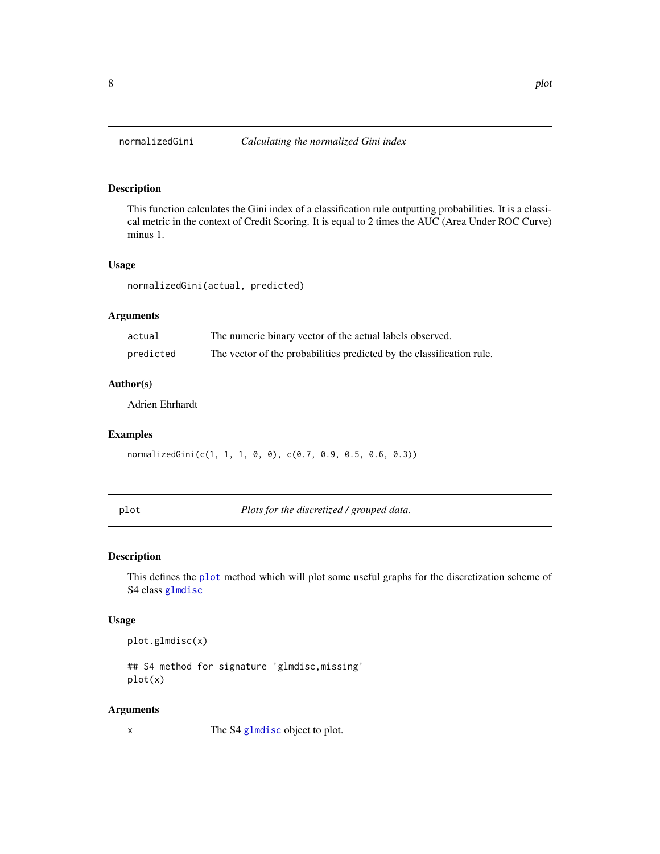<span id="page-7-1"></span><span id="page-7-0"></span>

#### Description

This function calculates the Gini index of a classification rule outputting probabilities. It is a classical metric in the context of Credit Scoring. It is equal to 2 times the AUC (Area Under ROC Curve) minus 1.

#### Usage

normalizedGini(actual, predicted)

#### Arguments

| actual    | The numeric binary vector of the actual labels observed.              |
|-----------|-----------------------------------------------------------------------|
| predicted | The vector of the probabilities predicted by the classification rule. |

#### Author(s)

Adrien Ehrhardt

#### Examples

normalizedGini(c(1, 1, 1, 0, 0), c(0.7, 0.9, 0.5, 0.6, 0.3))

<span id="page-7-2"></span>plot *Plots for the discretized / grouped data.*

#### Description

This defines the [plot](#page-7-2) method which will plot some useful graphs for the discretization scheme of S4 class [glmdisc](#page-4-1)

#### Usage

plot.glmdisc(x)

## S4 method for signature 'glmdisc,missing' plot(x)

#### Arguments

x The S4 [glmdisc](#page-4-1) object to plot.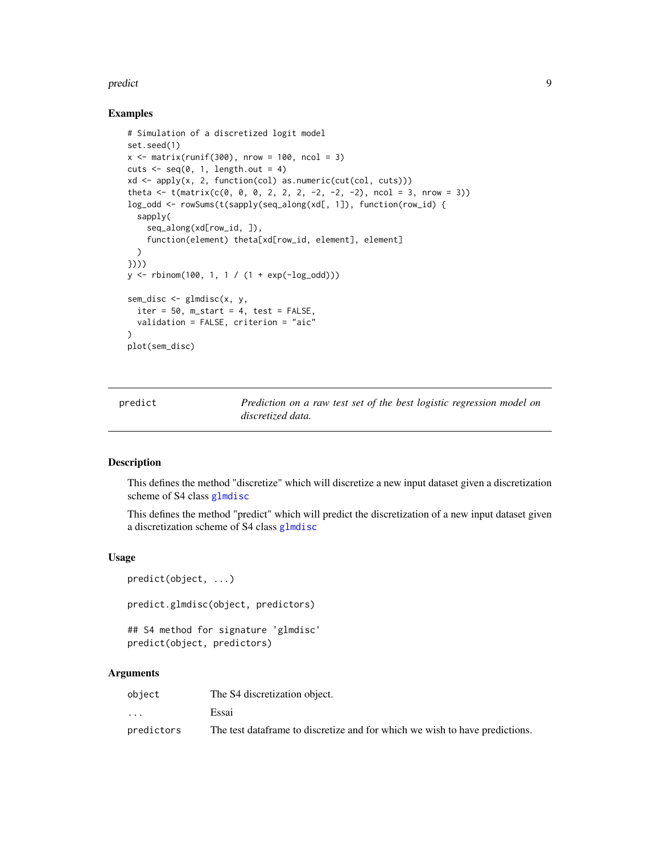#### <span id="page-8-0"></span>predict the contract of the contract of the contract of the contract of the contract of the contract of the contract of the contract of the contract of the contract of the contract of the contract of the contract of the co

#### Examples

```
# Simulation of a discretized logit model
set.seed(1)
x \le - matrix(runif(300), nrow = 100, ncol = 3)
cuts \leq seq(0, 1, length.out = 4)
xd <- apply(x, 2, function(col) as.numeric(cut(col, cuts)))
theta \leq t(matrix(c(0, 0, 0, 2, 2, 2, -2, -2, -2), ncol = 3, nrow = 3))
log_odd <- rowSums(t(sapply(seq_along(xd[, 1]), function(row_id) {
  sapply(
    seq_along(xd[row_id, ]),
    function(element) theta[xd[row_id, element], element]
  )
})))
y \le - rbinom(100, 1, 1 / (1 + exp(-log_odd)))
sem_disc \leq glmdisc(x, y,iter = 50, m_start = 4, test = FALSE,
  validation = FALSE, criterion = "aic"
\lambdaplot(sem_disc)
```
<span id="page-8-1"></span>predict *Prediction on a raw test set of the best logistic regression model on discretized data.*

#### Description

This defines the method "discretize" which will discretize a new input dataset given a discretization scheme of S4 class [glmdisc](#page-4-1)

This defines the method "predict" which will predict the discretization of a new input dataset given a discretization scheme of S4 class [glmdisc](#page-4-1)

#### Usage

```
predict(object, ...)
predict.glmdisc(object, predictors)
## S4 method for signature 'glmdisc'
predict(object, predictors)
```
#### Arguments

| object                  | The S4 discretization object.                                                |
|-------------------------|------------------------------------------------------------------------------|
| $\cdot$ $\cdot$ $\cdot$ | Essai                                                                        |
| predictors              | The test data frame to discretize and for which we wish to have predictions. |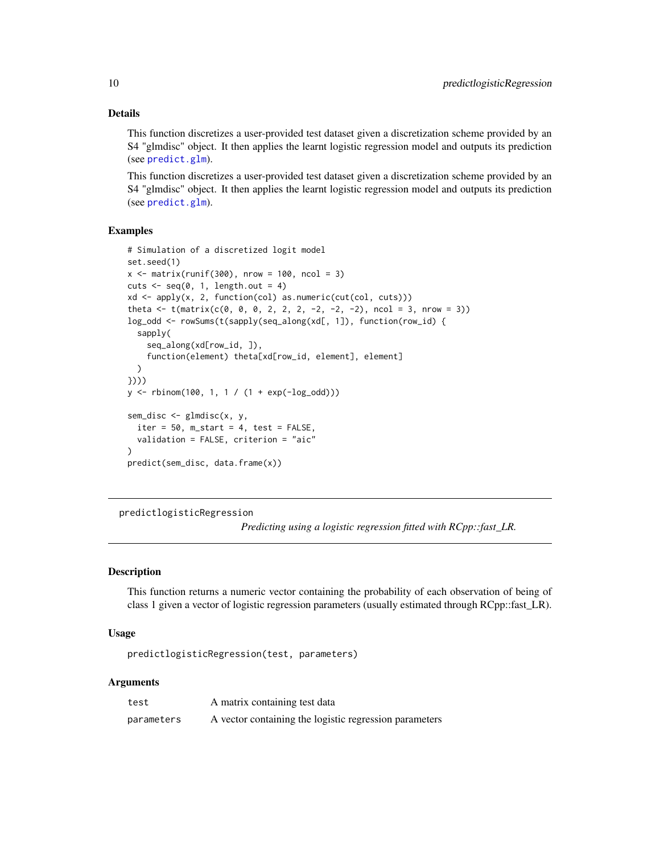#### Details

This function discretizes a user-provided test dataset given a discretization scheme provided by an S4 "glmdisc" object. It then applies the learnt logistic regression model and outputs its prediction (see [predict.glm](#page-0-0)).

This function discretizes a user-provided test dataset given a discretization scheme provided by an S4 "glmdisc" object. It then applies the learnt logistic regression model and outputs its prediction (see [predict.glm](#page-0-0)).

#### Examples

```
# Simulation of a discretized logit model
set.seed(1)
x \le matrix(runif(300), nrow = 100, ncol = 3)
cuts \leq seq(0, 1, length.out = 4)
xd <- apply(x, 2, function(col) as.numeric(cut(col, cuts)))
theta \leq t(matrix(c(0, 0, 0, 2, 2, 2, -2, -2, -2), ncol = 3, nrow = 3))
log_odd <- rowSums(t(sapply(seq_along(xd[, 1]), function(row_id) {
  sapply(
    seq_along(xd[row_id, ]),
    function(element) theta[xd[row_id, element], element]
  \lambda})))
y <- rbinom(100, 1, 1 / (1 + exp(-log_odd)))
sem_disc <- glmdisc(x, y,
  iter = 50, m_start = 4, test = FALSE,
  validation = FALSE, criterion = "aic"
)
predict(sem_disc, data.frame(x))
```
predictlogisticRegression

*Predicting using a logistic regression fitted with RCpp::fast\_LR.*

#### Description

This function returns a numeric vector containing the probability of each observation of being of class 1 given a vector of logistic regression parameters (usually estimated through RCpp::fast\_LR).

#### Usage

```
predictlogisticRegression(test, parameters)
```
#### Arguments

| test       | A matrix containing test data                          |
|------------|--------------------------------------------------------|
| parameters | A vector containing the logistic regression parameters |

<span id="page-9-0"></span>